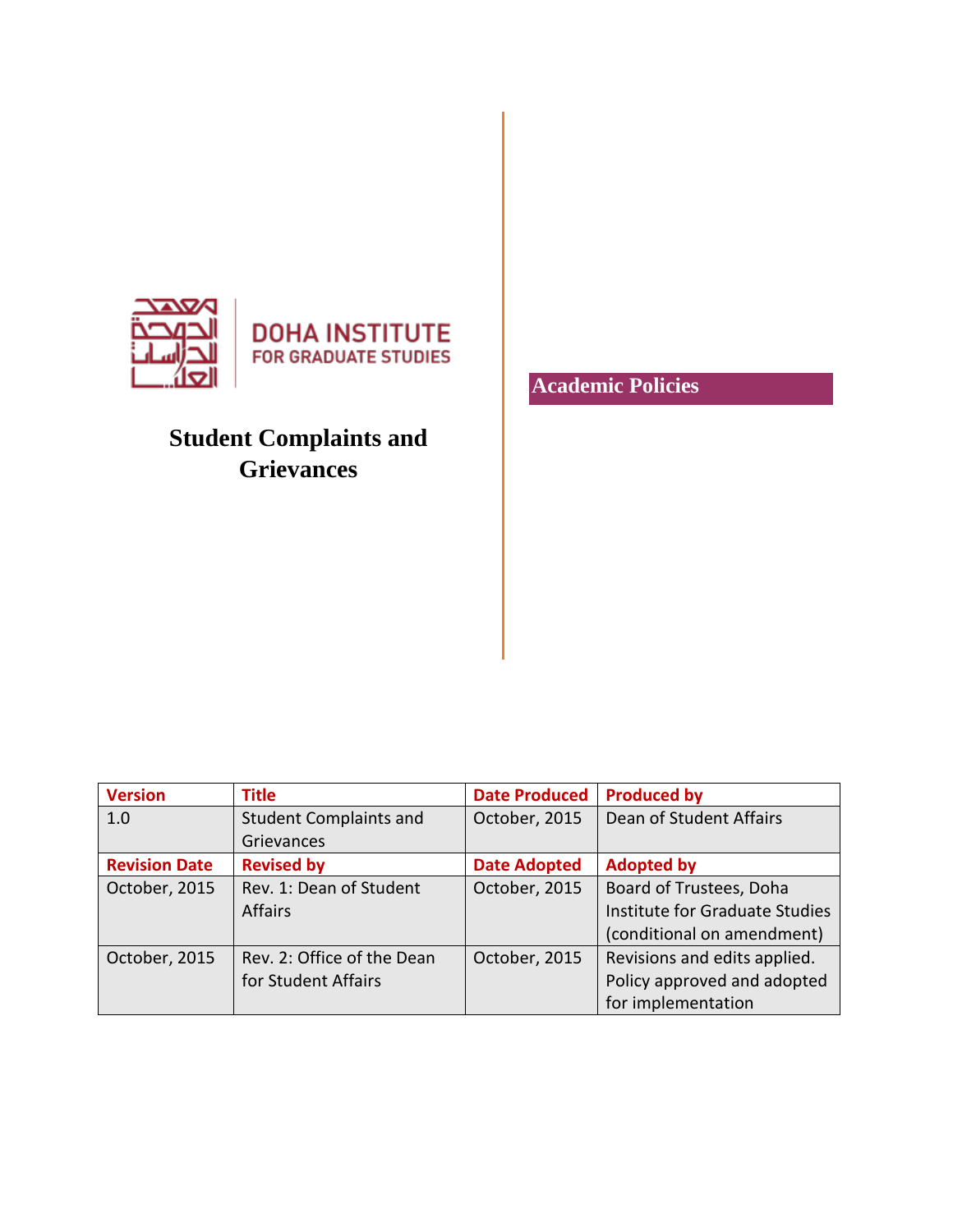

# **Student Complaints and Grievances**

**Version Title Date Produced Produced by** 1.0 Student Complaints and Grievances October, 2015 | Dean of Student Affairs **Revision Date Revised by Date Adopted Adopted by** October, 2015 | Rev. 1: Dean of Student Affairs October, 2015 | Board of Trustees, Doha Institute for Graduate Studies (conditional on amendment) October, 2015  $\vert$  Rev. 2: Office of the Dean for Student Affairs October, 2015  $\vert$  Revisions and edits applied. Policy approved and adopted for implementation

**Academic Policies**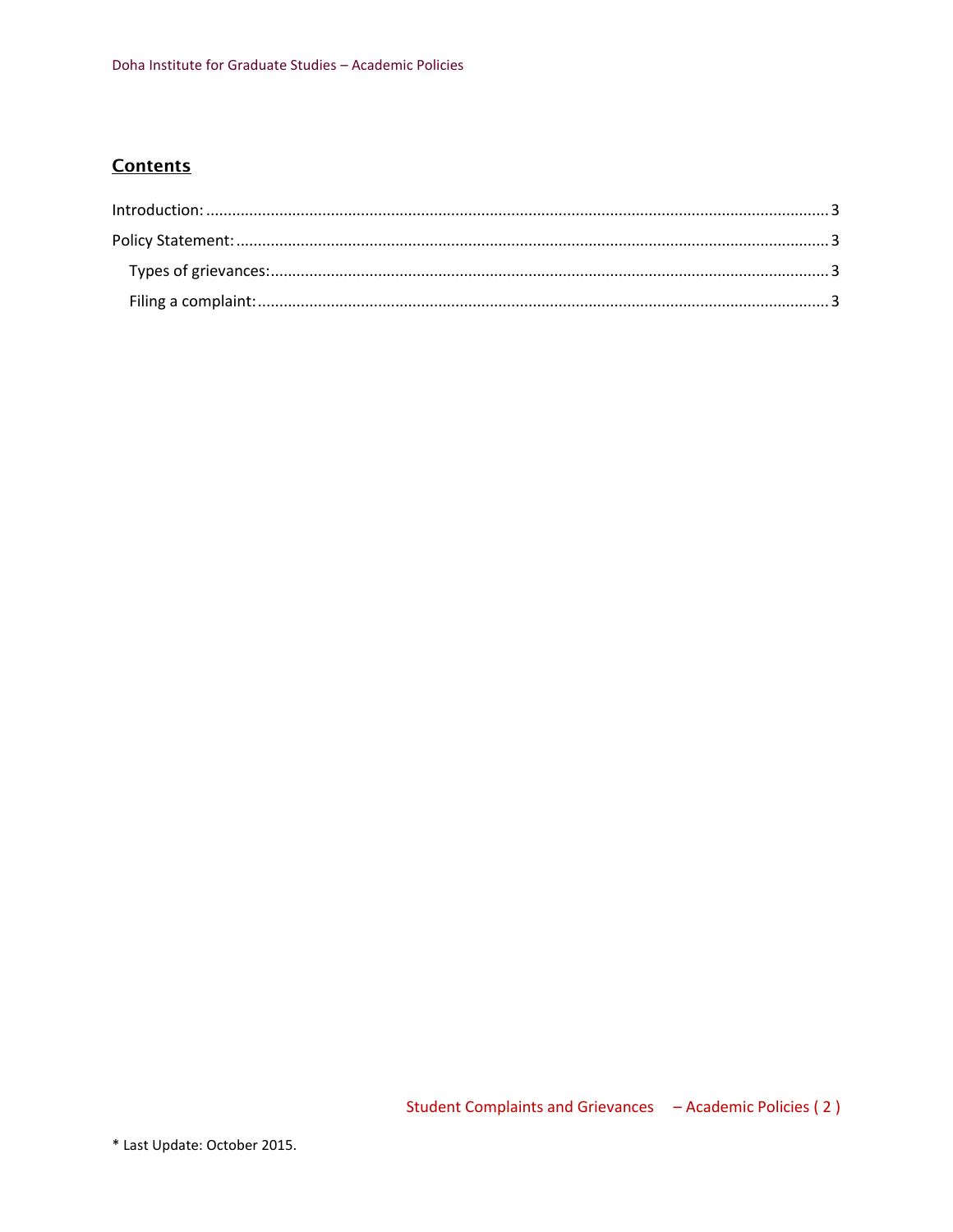# **Contents**

| $Introduction: 3$ |  |
|-------------------|--|
|                   |  |
|                   |  |
|                   |  |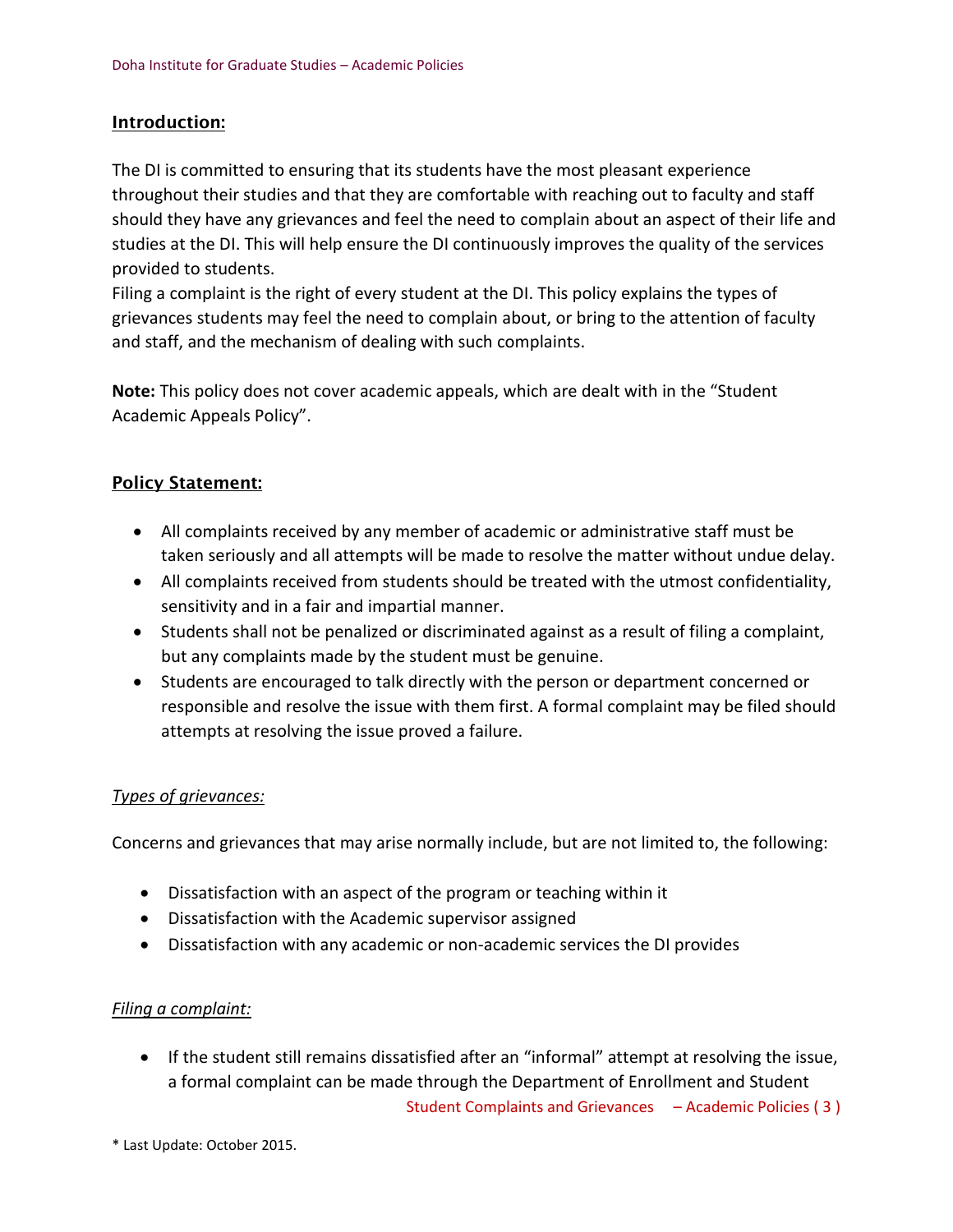## <span id="page-2-0"></span>Introduction:

The DI is committed to ensuring that its students have the most pleasant experience throughout their studies and that they are comfortable with reaching out to faculty and staff should they have any grievances and feel the need to complain about an aspect of their life and studies at the DI. This will help ensure the DI continuously improves the quality of the services provided to students.

Filing a complaint is the right of every student at the DI. This policy explains the types of grievances students may feel the need to complain about, or bring to the attention of faculty and staff, and the mechanism of dealing with such complaints.

**Note:** This policy does not cover academic appeals, which are dealt with in the "Student Academic Appeals Policy".

# <span id="page-2-1"></span>Policy Statement:

- All complaints received by any member of academic or administrative staff must be taken seriously and all attempts will be made to resolve the matter without undue delay.
- All complaints received from students should be treated with the utmost confidentiality, sensitivity and in a fair and impartial manner.
- Students shall not be penalized or discriminated against as a result of filing a complaint, but any complaints made by the student must be genuine.
- Students are encouraged to talk directly with the person or department concerned or responsible and resolve the issue with them first. A formal complaint may be filed should attempts at resolving the issue proved a failure.

## <span id="page-2-2"></span>*Types of grievances:*

Concerns and grievances that may arise normally include, but are not limited to, the following:

- Dissatisfaction with an aspect of the program or teaching within it
- Dissatisfaction with the Academic supervisor assigned
- Dissatisfaction with any academic or non-academic services the DI provides

## <span id="page-2-3"></span>*Filing a complaint:*

• If the student still remains dissatisfied after an "informal" attempt at resolving the issue, a formal complaint can be made through the Department of Enrollment and Student

Student Complaints and Grievances– Academic Policies ( 3 )